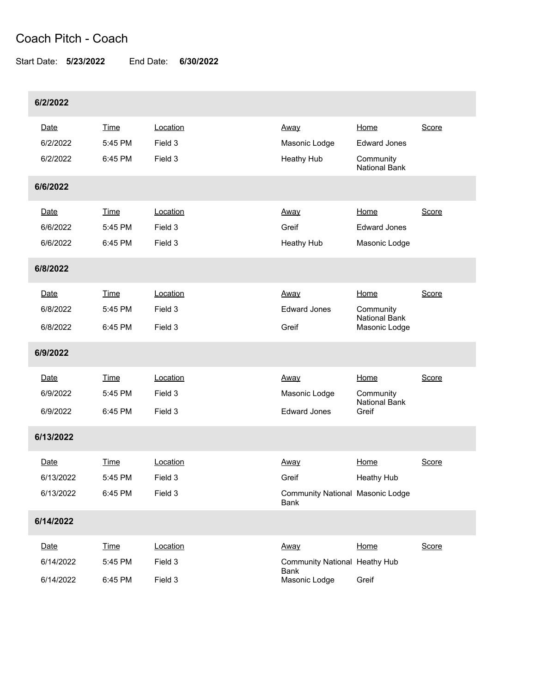## Coach Pitch - Coach

Start Date: **5/23/2022** End Date: **6/30/2022**

| 6/2/2022  |             |          |                                                 |                                       |       |
|-----------|-------------|----------|-------------------------------------------------|---------------------------------------|-------|
| Date      | Time        | Location | Away                                            | Home                                  | Score |
| 6/2/2022  | 5:45 PM     | Field 3  | Masonic Lodge                                   | <b>Edward Jones</b>                   |       |
| 6/2/2022  | 6:45 PM     | Field 3  | Heathy Hub                                      | Community<br><b>National Bank</b>     |       |
| 6/6/2022  |             |          |                                                 |                                       |       |
| Date      | <b>Time</b> | Location | Away                                            | Home                                  | Score |
| 6/6/2022  | 5:45 PM     | Field 3  | Greif                                           | <b>Edward Jones</b>                   |       |
| 6/6/2022  | 6:45 PM     | Field 3  | Heathy Hub                                      | Masonic Lodge                         |       |
| 6/8/2022  |             |          |                                                 |                                       |       |
| Date      | Time        | Location | Away                                            | Home                                  | Score |
| 6/8/2022  | 5:45 PM     | Field 3  | <b>Edward Jones</b>                             | Community                             |       |
| 6/8/2022  | 6:45 PM     | Field 3  | Greif                                           | <b>National Bank</b><br>Masonic Lodge |       |
| 6/9/2022  |             |          |                                                 |                                       |       |
| Date      | Time        | Location | Away                                            | Home                                  | Score |
| 6/9/2022  | 5:45 PM     | Field 3  | Masonic Lodge                                   | Community                             |       |
| 6/9/2022  | 6:45 PM     | Field 3  | <b>Edward Jones</b>                             | <b>National Bank</b><br>Greif         |       |
| 6/13/2022 |             |          |                                                 |                                       |       |
| Date      | Time        | Location | Away                                            | Home                                  | Score |
| 6/13/2022 | 5:45 PM     | Field 3  | Greif                                           | <b>Heathy Hub</b>                     |       |
| 6/13/2022 | 6:45 PM     | Field 3  | <b>Community National Masonic Lodge</b><br>Bank |                                       |       |
| 6/14/2022 |             |          |                                                 |                                       |       |
| Date      | <b>Time</b> | Location | Away                                            | Home                                  | Score |
| 6/14/2022 | 5:45 PM     | Field 3  | Community National Heathy Hub                   |                                       |       |
| 6/14/2022 | 6:45 PM     | Field 3  | Bank<br>Masonic Lodge                           | Greif                                 |       |